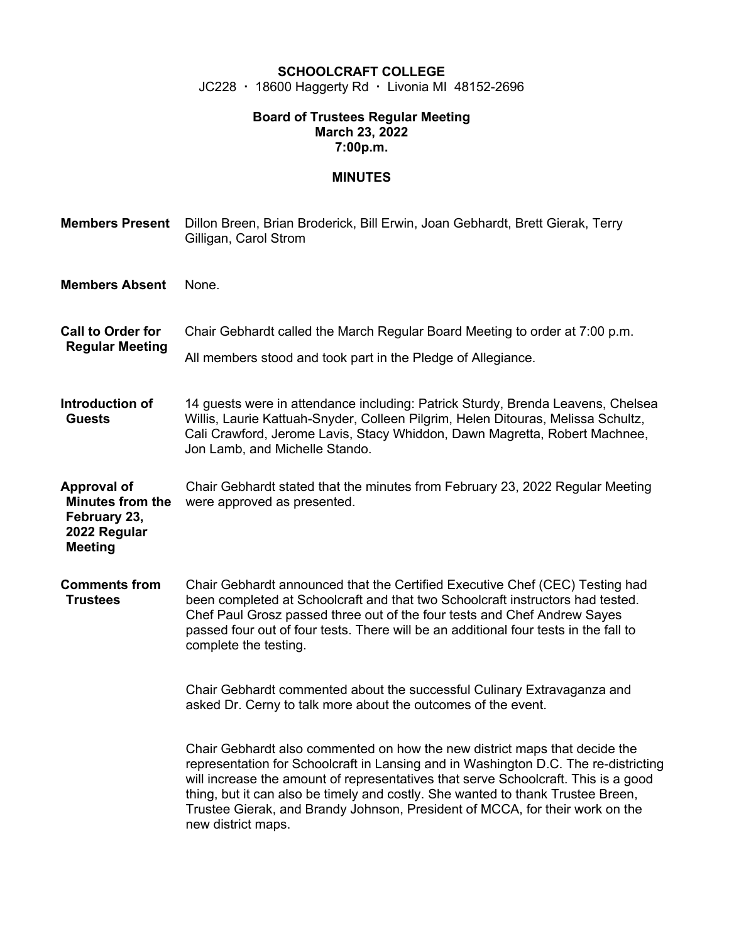## **SCHOOLCRAFT COLLEGE**

JC228 · 18600 Haggerty Rd · Livonia MI 48152-2696

## **Board of Trustees Regular Meeting March 23, 2022 7:00p.m.**

## **MINUTES**

| <b>Members Present</b>                                                                          | Dillon Breen, Brian Broderick, Bill Erwin, Joan Gebhardt, Brett Gierak, Terry<br>Gilligan, Carol Strom                                                                                                                                                                                                                                                                                                                                           |  |  |
|-------------------------------------------------------------------------------------------------|--------------------------------------------------------------------------------------------------------------------------------------------------------------------------------------------------------------------------------------------------------------------------------------------------------------------------------------------------------------------------------------------------------------------------------------------------|--|--|
| <b>Members Absent</b>                                                                           | None.                                                                                                                                                                                                                                                                                                                                                                                                                                            |  |  |
| <b>Call to Order for</b><br><b>Regular Meeting</b>                                              | Chair Gebhardt called the March Regular Board Meeting to order at 7:00 p.m.<br>All members stood and took part in the Pledge of Allegiance.                                                                                                                                                                                                                                                                                                      |  |  |
| Introduction of<br><b>Guests</b>                                                                | 14 guests were in attendance including: Patrick Sturdy, Brenda Leavens, Chelsea<br>Willis, Laurie Kattuah-Snyder, Colleen Pilgrim, Helen Ditouras, Melissa Schultz,<br>Cali Crawford, Jerome Lavis, Stacy Whiddon, Dawn Magretta, Robert Machnee,<br>Jon Lamb, and Michelle Stando.                                                                                                                                                              |  |  |
| <b>Approval of</b><br><b>Minutes from the</b><br>February 23,<br>2022 Regular<br><b>Meeting</b> | Chair Gebhardt stated that the minutes from February 23, 2022 Regular Meeting<br>were approved as presented.                                                                                                                                                                                                                                                                                                                                     |  |  |
| <b>Comments from</b><br><b>Trustees</b>                                                         | Chair Gebhardt announced that the Certified Executive Chef (CEC) Testing had<br>been completed at Schoolcraft and that two Schoolcraft instructors had tested.<br>Chef Paul Grosz passed three out of the four tests and Chef Andrew Sayes<br>passed four out of four tests. There will be an additional four tests in the fall to<br>complete the testing.                                                                                      |  |  |
|                                                                                                 | Chair Gebhardt commented about the successful Culinary Extravaganza and<br>asked Dr. Cerny to talk more about the outcomes of the event.                                                                                                                                                                                                                                                                                                         |  |  |
|                                                                                                 | Chair Gebhardt also commented on how the new district maps that decide the<br>representation for Schoolcraft in Lansing and in Washington D.C. The re-districting<br>will increase the amount of representatives that serve Schoolcraft. This is a good<br>thing, but it can also be timely and costly. She wanted to thank Trustee Breen,<br>Trustee Gierak, and Brandy Johnson, President of MCCA, for their work on the<br>new district maps. |  |  |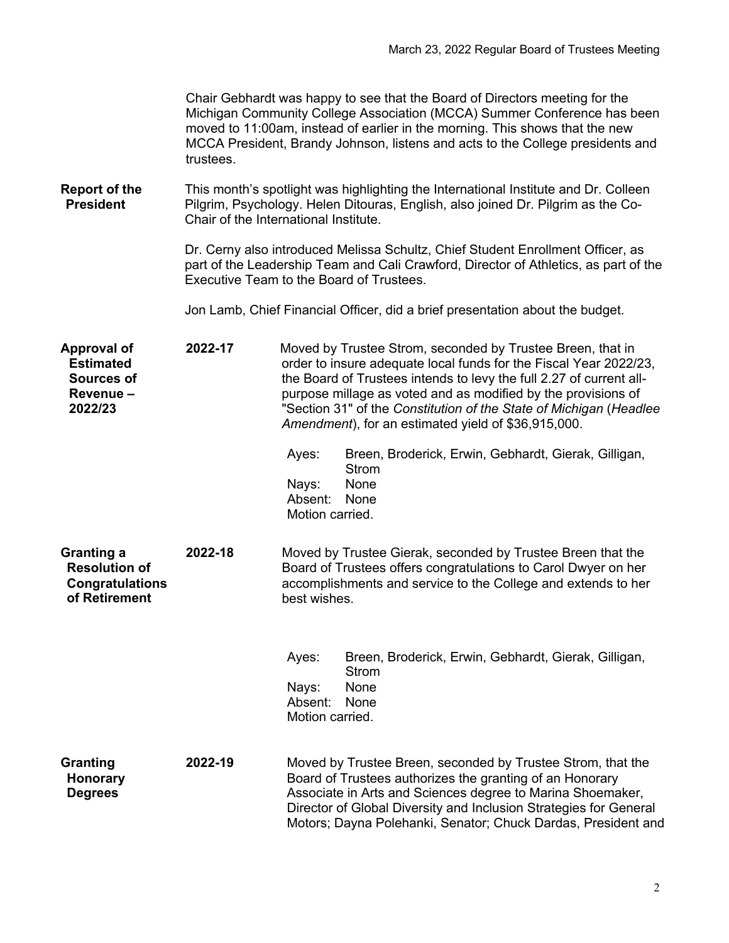|                                                                                      | Chair Gebhardt was happy to see that the Board of Directors meeting for the<br>Michigan Community College Association (MCCA) Summer Conference has been<br>moved to 11:00am, instead of earlier in the morning. This shows that the new<br>MCCA President, Brandy Johnson, listens and acts to the College presidents and<br>trustees. |                                                                                                                                                                                                                                                                                                                                                                                                      |  |  |  |  |
|--------------------------------------------------------------------------------------|----------------------------------------------------------------------------------------------------------------------------------------------------------------------------------------------------------------------------------------------------------------------------------------------------------------------------------------|------------------------------------------------------------------------------------------------------------------------------------------------------------------------------------------------------------------------------------------------------------------------------------------------------------------------------------------------------------------------------------------------------|--|--|--|--|
| <b>Report of the</b><br><b>President</b>                                             | This month's spotlight was highlighting the International Institute and Dr. Colleen<br>Pilgrim, Psychology. Helen Ditouras, English, also joined Dr. Pilgrim as the Co-<br>Chair of the International Institute.                                                                                                                       |                                                                                                                                                                                                                                                                                                                                                                                                      |  |  |  |  |
|                                                                                      | Dr. Cerny also introduced Melissa Schultz, Chief Student Enrollment Officer, as<br>part of the Leadership Team and Cali Crawford, Director of Athletics, as part of the<br>Executive Team to the Board of Trustees.                                                                                                                    |                                                                                                                                                                                                                                                                                                                                                                                                      |  |  |  |  |
|                                                                                      | Jon Lamb, Chief Financial Officer, did a brief presentation about the budget.                                                                                                                                                                                                                                                          |                                                                                                                                                                                                                                                                                                                                                                                                      |  |  |  |  |
| <b>Approval of</b><br><b>Estimated</b><br><b>Sources of</b><br>Revenue-<br>2022/23   | 2022-17                                                                                                                                                                                                                                                                                                                                | Moved by Trustee Strom, seconded by Trustee Breen, that in<br>order to insure adequate local funds for the Fiscal Year 2022/23,<br>the Board of Trustees intends to levy the full 2.27 of current all-<br>purpose millage as voted and as modified by the provisions of<br>"Section 31" of the Constitution of the State of Michigan (Headlee<br>Amendment), for an estimated yield of \$36,915,000. |  |  |  |  |
|                                                                                      |                                                                                                                                                                                                                                                                                                                                        | Breen, Broderick, Erwin, Gebhardt, Gierak, Gilligan,<br>Ayes:<br><b>Strom</b><br>None<br>Nays:<br>Absent:<br>None<br>Motion carried.                                                                                                                                                                                                                                                                 |  |  |  |  |
| <b>Granting a</b><br><b>Resolution of</b><br><b>Congratulations</b><br>of Retirement | 2022-18                                                                                                                                                                                                                                                                                                                                | Moved by Trustee Gierak, seconded by Trustee Breen that the<br>Board of Trustees offers congratulations to Carol Dwyer on her<br>accomplishments and service to the College and extends to her<br>best wishes.                                                                                                                                                                                       |  |  |  |  |
|                                                                                      |                                                                                                                                                                                                                                                                                                                                        | Breen, Broderick, Erwin, Gebhardt, Gierak, Gilligan,<br>Ayes:<br><b>Strom</b><br>None<br>Nays:<br>Absent:<br>None<br>Motion carried.                                                                                                                                                                                                                                                                 |  |  |  |  |
| <b>Granting</b><br><b>Honorary</b><br><b>Degrees</b>                                 | 2022-19                                                                                                                                                                                                                                                                                                                                | Moved by Trustee Breen, seconded by Trustee Strom, that the<br>Board of Trustees authorizes the granting of an Honorary<br>Associate in Arts and Sciences degree to Marina Shoemaker,<br>Director of Global Diversity and Inclusion Strategies for General<br>Motors; Dayna Polehanki, Senator; Chuck Dardas, President and                                                                          |  |  |  |  |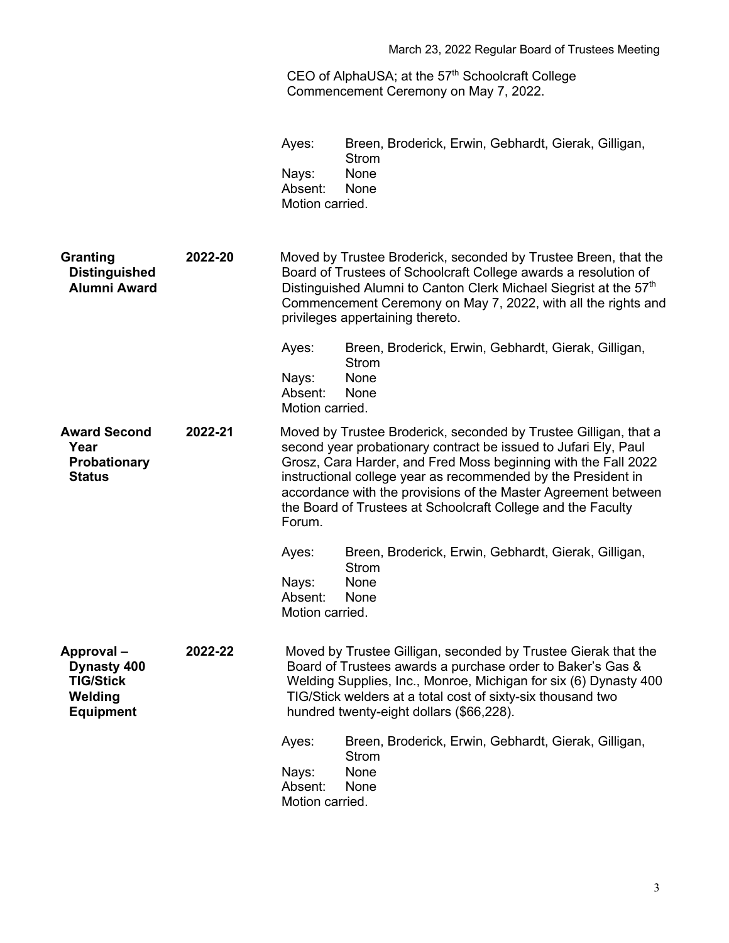CEO of AlphaUSA; at the  $57<sup>th</sup>$  Schoolcraft College Commencement Ceremony on May 7, 2022.

|                                                                                        |         | Ayes:<br>Nays:<br>Absent:<br>Motion carried. | Breen, Broderick, Erwin, Gebhardt, Gierak, Gilligan,<br>Strom<br>None<br>None                                                                                                                                                                                                                                                                                                                            |
|----------------------------------------------------------------------------------------|---------|----------------------------------------------|----------------------------------------------------------------------------------------------------------------------------------------------------------------------------------------------------------------------------------------------------------------------------------------------------------------------------------------------------------------------------------------------------------|
| <b>Granting</b><br><b>Distinguished</b><br><b>Alumni Award</b>                         | 2022-20 |                                              | Moved by Trustee Broderick, seconded by Trustee Breen, that the<br>Board of Trustees of Schoolcraft College awards a resolution of<br>Distinguished Alumni to Canton Clerk Michael Siegrist at the 57 <sup>th</sup><br>Commencement Ceremony on May 7, 2022, with all the rights and<br>privileges appertaining thereto.                                                                                 |
|                                                                                        |         | Ayes:<br>Nays:<br>Absent:<br>Motion carried. | Breen, Broderick, Erwin, Gebhardt, Gierak, Gilligan,<br><b>Strom</b><br>None<br>None                                                                                                                                                                                                                                                                                                                     |
| <b>Award Second</b><br>Year<br><b>Probationary</b><br><b>Status</b>                    | 2022-21 | Forum.                                       | Moved by Trustee Broderick, seconded by Trustee Gilligan, that a<br>second year probationary contract be issued to Jufari Ely, Paul<br>Grosz, Cara Harder, and Fred Moss beginning with the Fall 2022<br>instructional college year as recommended by the President in<br>accordance with the provisions of the Master Agreement between<br>the Board of Trustees at Schoolcraft College and the Faculty |
|                                                                                        |         | Ayes:<br>Nays:<br>Absent:<br>Motion carried. | Breen, Broderick, Erwin, Gebhardt, Gierak, Gilligan,<br><b>Strom</b><br>None<br>None                                                                                                                                                                                                                                                                                                                     |
| 2022-22<br>Approval-<br>Dynasty 400<br><b>TIG/Stick</b><br>Welding<br><b>Equipment</b> |         |                                              | Moved by Trustee Gilligan, seconded by Trustee Gierak that the<br>Board of Trustees awards a purchase order to Baker's Gas &<br>Welding Supplies, Inc., Monroe, Michigan for six (6) Dynasty 400<br>TIG/Stick welders at a total cost of sixty-six thousand two<br>hundred twenty-eight dollars (\$66,228).                                                                                              |
|                                                                                        |         | Ayes:<br>Nays:<br>Absent:<br>Motion carried. | Breen, Broderick, Erwin, Gebhardt, Gierak, Gilligan,<br><b>Strom</b><br>None<br>None                                                                                                                                                                                                                                                                                                                     |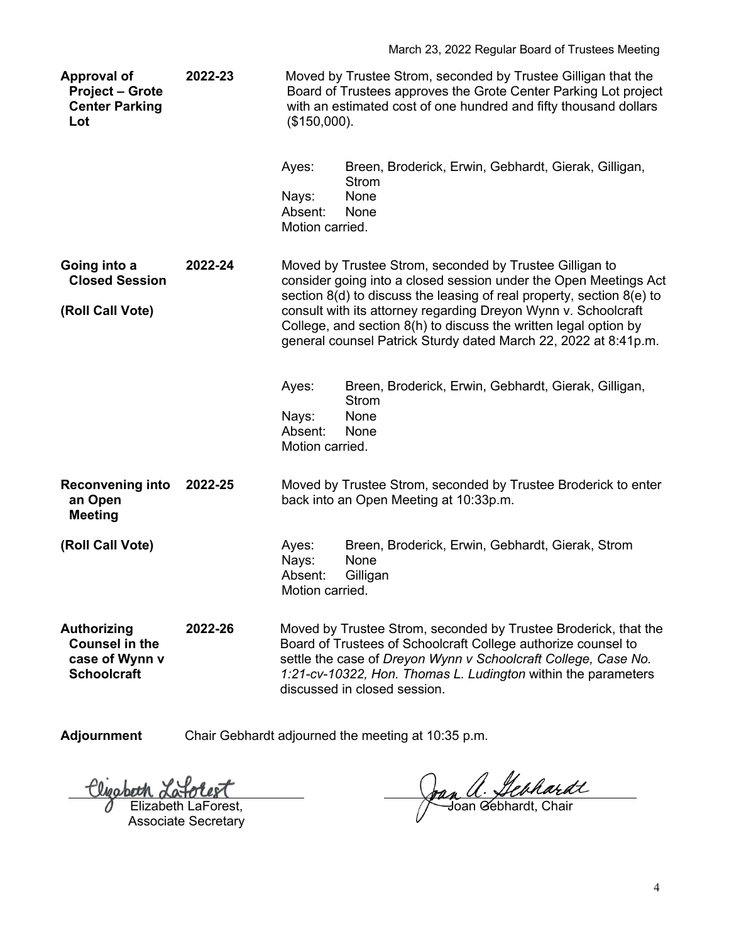| <b>Approval of</b><br><b>Project – Grote</b><br><b>Center Parking</b><br>Lot        | 2022-23 | Moved by Trustee Strom, seconded by Trustee Gilligan that the<br>Board of Trustees approves the Grote Center Parking Lot project<br>with an estimated cost of one hundred and fifty thousand dollars<br>$($150,000)$ .                                                                                                                                                                                            |  |  |
|-------------------------------------------------------------------------------------|---------|-------------------------------------------------------------------------------------------------------------------------------------------------------------------------------------------------------------------------------------------------------------------------------------------------------------------------------------------------------------------------------------------------------------------|--|--|
|                                                                                     |         | Breen, Broderick, Erwin, Gebhardt, Gierak, Gilligan,<br>Ayes:<br><b>Strom</b><br>None<br>Nays:<br>Absent:<br>None<br>Motion carried.                                                                                                                                                                                                                                                                              |  |  |
| Going into a<br><b>Closed Session</b><br>(Roll Call Vote)                           | 2022-24 | Moved by Trustee Strom, seconded by Trustee Gilligan to<br>consider going into a closed session under the Open Meetings Act<br>section $8(d)$ to discuss the leasing of real property, section $8(e)$ to<br>consult with its attorney regarding Dreyon Wynn v. Schoolcraft<br>College, and section 8(h) to discuss the written legal option by<br>general counsel Patrick Sturdy dated March 22, 2022 at 8:41p.m. |  |  |
|                                                                                     |         | Ayes:<br>Breen, Broderick, Erwin, Gebhardt, Gierak, Gilligan,<br><b>Strom</b><br>Nays:<br>None<br>Absent:<br>None<br>Motion carried.                                                                                                                                                                                                                                                                              |  |  |
| <b>Reconvening into</b><br>an Open<br><b>Meeting</b>                                | 2022-25 | Moved by Trustee Strom, seconded by Trustee Broderick to enter<br>back into an Open Meeting at 10:33p.m.                                                                                                                                                                                                                                                                                                          |  |  |
| (Roll Call Vote)                                                                    |         | Breen, Broderick, Erwin, Gebhardt, Gierak, Strom<br>Ayes:<br>Nays:<br>None<br>Absent:<br>Gilligan<br>Motion carried.                                                                                                                                                                                                                                                                                              |  |  |
| <b>Authorizing</b><br><b>Counsel in the</b><br>case of Wynn v<br><b>Schoolcraft</b> | 2022-26 | Moved by Trustee Strom, seconded by Trustee Broderick, that the<br>Board of Trustees of Schoolcraft College authorize counsel to<br>settle the case of Dreyon Wynn v Schoolcraft College, Case No.<br>1:21-cv-10322, Hon. Thomas L. Ludington within the parameters<br>discussed in closed session.                                                                                                               |  |  |

**Adjournment** Chair Gebhardt adjourned the meeting at 10:35 p.m.

Clizabeth Lafolest

Associate Secretary

Joan a. Leahardt